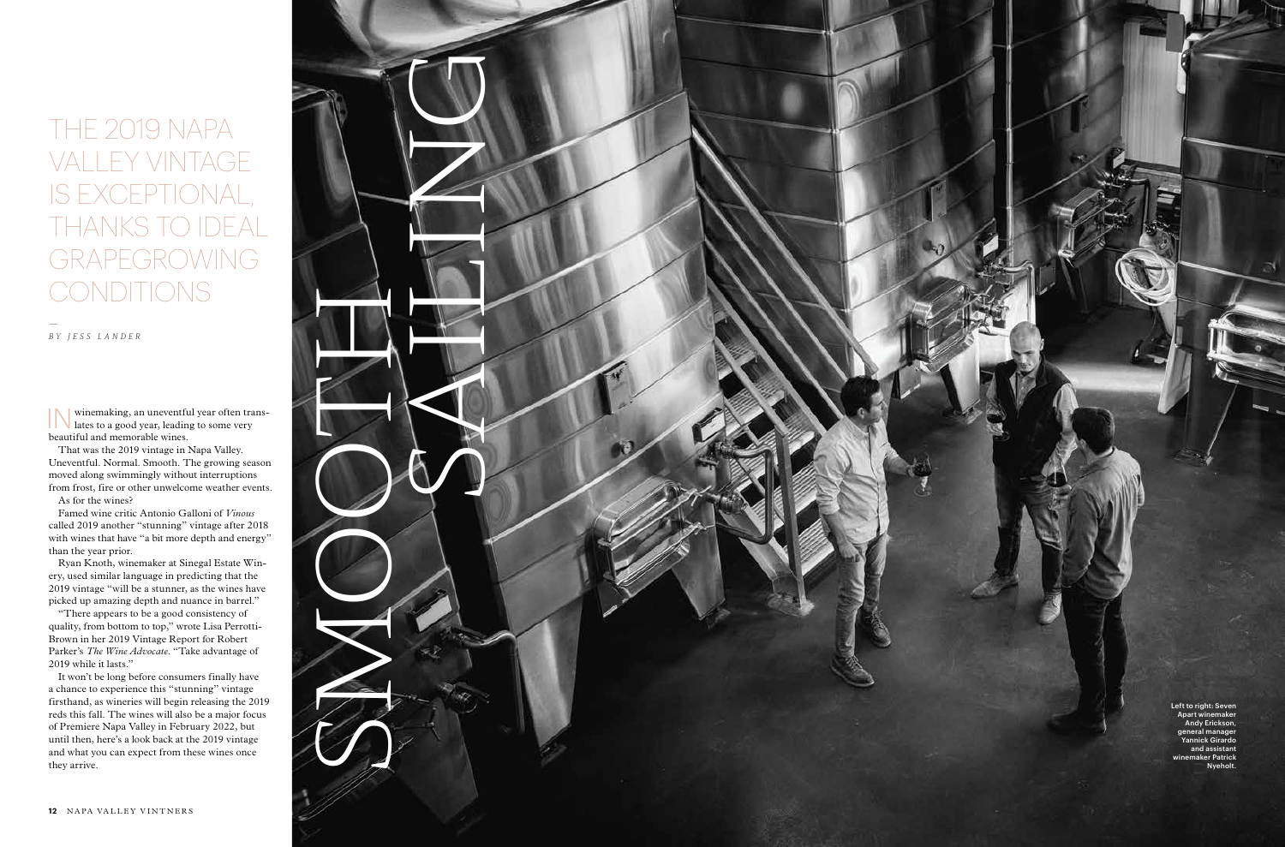## THE 2019 NAPA VALLEY VINTAGE IS EXCEPTIONAL, THANKS TO IDEAL GRAPEGROWING CONDITIONS

—

BY JESS LANDER

IN winemaking, an uneventful year often trans-<br>lates to a good year, leading to some very lates to a good year, leading to some very beautiful and memorable wines.

That was the 2019 vintage in Napa Valley. Uneventful. Normal. Smooth. The growing season moved along swimmingly without interruptions from frost, fire or other unwelcome weather events. As for the wines?

Famed wine critic Antonio Galloni of *Vinous*  called 2019 another "stunning" vintage after 2018 with wines that have "a bit more depth and energy" than the year prior.

Ryan Knoth, winemaker at Sinegal Estate Win ery, used similar language in predicting that the 2019 vintage "will be a stunner, as the wines have picked up amazing depth and nuance in barrel."

> Left to right: Seven Apart winemaker Andy Erickson, general manager Yannick Girardo and assistant aker Patrick **Nyeholt**

"There appears to be a good consistency of quality, from bottom to top," wrote Lisa Perrotti-Brown in her 2019 Vintage Report for Robert Parker's *The Wine Advocate*. "Take advantage of 2019 while it lasts."

It won't be long before consumers finally have a chance to experience this "stunning" vintage firsthand, as wineries will begin releasing the 2019 reds this fall. The wines will also be a major focus of Premiere Napa Valley in February 2022, but until then, here's a look back at the 2019 vintage and what you can expect from these wines once they arrive.